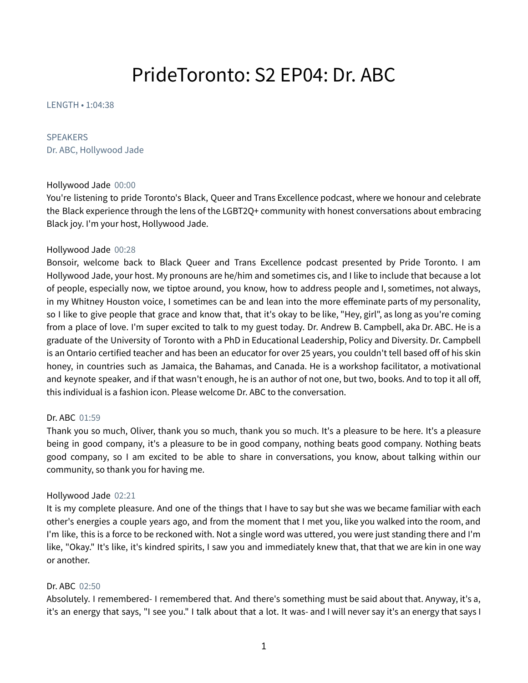# PrideToronto: S2 EP04: Dr. ABC

LENGTH • 1:04:38

# SPEAKERS

Dr. ABC, Hollywood Jade

#### Hollywood Jade 00:00

You're listening to pride Toronto's Black, Queer and Trans Excellence podcast, where we honour and celebrate the Black experience through the lens of the LGBT2Q+ community with honest conversations about embracing Black joy. I'm your host, Hollywood Jade.

## Hollywood Jade 00:28

Bonsoir, welcome back to Black Queer and Trans Excellence podcast presented by Pride Toronto. I am Hollywood Jade, your host. My pronouns are he/him and sometimes cis, and I like to include that because a lot of people, especially now, we tiptoe around, you know, how to address people and I, sometimes, not always, in my Whitney Houston voice, I sometimes can be and lean into the more effeminate parts of my personality, so I like to give people that grace and know that, that it's okay to be like, "Hey, girl", as long as you're coming from a place of love. I'm super excited to talk to my guest today. Dr. Andrew B. Campbell, aka Dr. ABC. He is a graduate of the University of Toronto with a PhD in Educational Leadership, Policy and Diversity. Dr. Campbell is an Ontario certified teacher and has been an educator for over 25 years, you couldn't tell based off of his skin honey, in countries such as Jamaica, the Bahamas, and Canada. He is a workshop facilitator, a motivational and keynote speaker, and if that wasn't enough, he is an author of not one, but two, books. And to top it all off, this individual is a fashion icon. Please welcome Dr. ABC to the conversation.

# Dr. ABC 01:59

Thank you so much, Oliver, thank you so much, thank you so much. It's a pleasure to be here. It's a pleasure being in good company, it's a pleasure to be in good company, nothing beats good company. Nothing beats good company, so I am excited to be able to share in conversations, you know, about talking within our community, so thank you for having me.

#### Hollywood Jade 02:21

It is my complete pleasure. And one of the things that I have to say but she was we became familiar with each other's energies a couple years ago, and from the moment that I met you, like you walked into the room, and I'm like, this is a force to be reckoned with. Not a single word was uttered, you were just standing there and I'm like, "Okay." It's like, it's kindred spirits, I saw you and immediately knew that, that that we are kin in one way or another.

# Dr. ABC 02:50

Absolutely. I remembered- I remembered that. And there's something must be said about that. Anyway, it's a, it's an energy that says, "I see you." I talk about that a lot. It was- and I will never say it's an energy that says I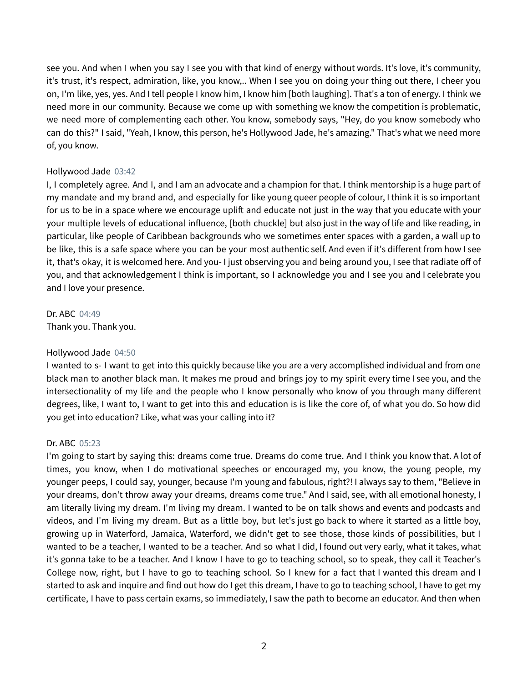see you. And when I when you say I see you with that kind of energy without words. It's love, it's community, it's trust, it's respect, admiration, like, you know,.. When I see you on doing your thing out there, I cheer you on, I'm like, yes, yes. And I tell people I know him, I know him [both laughing]. That's a ton of energy. I think we need more in our community. Because we come up with something we know the competition is problematic, we need more of complementing each other. You know, somebody says, "Hey, do you know somebody who can do this?" I said, "Yeah, I know, this person, he's Hollywood Jade, he's amazing." That's what we need more of, you know.

## Hollywood Jade 03:42

I, I completely agree. And I, and I am an advocate and a champion for that. I think mentorship is a huge part of my mandate and my brand and, and especially for like young queer people of colour, I think it is so important for us to be in a space where we encourage uplift and educate not just in the way that you educate with your your multiple levels of educational influence, [both chuckle] but also just in the way of life and like reading, in particular, like people of Caribbean backgrounds who we sometimes enter spaces with a garden, a wall up to be like, this is a safe space where you can be your most authentic self. And even if it's different from how I see it, that's okay, it is welcomed here. And you- I just observing you and being around you, I see that radiate off of you, and that acknowledgement I think is important, so I acknowledge you and I see you and I celebrate you and I love your presence.

Dr. ABC 04:49 Thank you. Thank you.

# Hollywood Jade 04:50

I wanted to s- I want to get into this quickly because like you are a very accomplished individual and from one black man to another black man. It makes me proud and brings joy to my spirit every time I see you, and the intersectionality of my life and the people who I know personally who know of you through many different degrees, like, I want to, I want to get into this and education is is like the core of, of what you do. So how did you get into education? Like, what was your calling into it?

# Dr. ABC 05:23

I'm going to start by saying this: dreams come true. Dreams do come true. And I think you know that. A lot of times, you know, when I do motivational speeches or encouraged my, you know, the young people, my younger peeps, I could say, younger, because I'm young and fabulous, right?! I always say to them, "Believe in your dreams, don't throw away your dreams, dreams come true." And I said, see, with all emotional honesty, I am literally living my dream. I'm living my dream. I wanted to be on talk shows and events and podcasts and videos, and I'm living my dream. But as a little boy, but let's just go back to where it started as a little boy, growing up in Waterford, Jamaica, Waterford, we didn't get to see those, those kinds of possibilities, but I wanted to be a teacher, I wanted to be a teacher. And so what I did, I found out very early, what it takes, what it's gonna take to be a teacher. And I know I have to go to teaching school, so to speak, they call it Teacher's College now, right, but I have to go to teaching school. So I knew for a fact that I wanted this dream and I started to ask and inquire and find out how do I get this dream, I have to go to teaching school, I have to get my certificate, I have to pass certain exams, so immediately, I saw the path to become an educator. And then when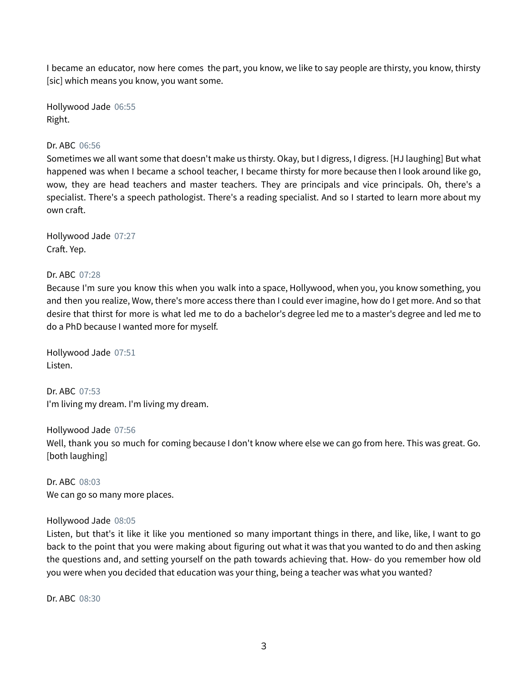I became an educator, now here comes the part, you know, we like to say people are thirsty, you know, thirsty [sic] which means you know, you want some.

Hollywood Jade 06:55 Right.

## Dr. ABC 06:56

Sometimes we all want some that doesn't make us thirsty. Okay, but I digress, I digress. [HJ laughing] But what happened was when I became a school teacher, I became thirsty for more because then I look around like go, wow, they are head teachers and master teachers. They are principals and vice principals. Oh, there's a specialist. There's a speech pathologist. There's a reading specialist. And so I started to learn more about my own craft.

Hollywood Jade 07:27 Craft. Yep.

## Dr. ABC 07:28

Because I'm sure you know this when you walk into a space, Hollywood, when you, you know something, you and then you realize, Wow, there's more access there than I could ever imagine, how do I get more. And so that desire that thirst for more is what led me to do a bachelor's degree led me to a master's degree and led me to do a PhD because I wanted more for myself.

Hollywood Jade 07:51 Listen.

Dr. ABC 07:53 I'm living my dream. I'm living my dream.

Hollywood Jade 07:56 Well, thank you so much for coming because I don't know where else we can go from here. This was great. Go. [both laughing]

Dr. ABC 08:03 We can go so many more places.

#### Hollywood Jade 08:05

Listen, but that's it like it like you mentioned so many important things in there, and like, like, I want to go back to the point that you were making about figuring out what it was that you wanted to do and then asking the questions and, and setting yourself on the path towards achieving that. How- do you remember how old you were when you decided that education was your thing, being a teacher was what you wanted?

Dr. ABC 08:30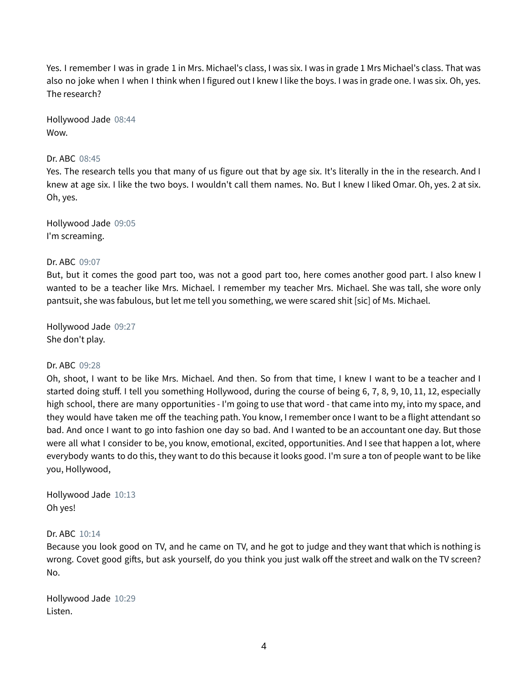Yes. I remember I was in grade 1 in Mrs. Michael's class, I was six. I was in grade 1 Mrs Michael's class. That was also no joke when I when I think when I figured out I knew I like the boys. I was in grade one. I was six. Oh, yes. The research?

Hollywood Jade 08:44 Wow.

## Dr. ABC 08:45

Yes. The research tells you that many of us figure out that by age six. It's literally in the in the research. And I knew at age six. I like the two boys. I wouldn't call them names. No. But I knew I liked Omar. Oh, yes. 2 at six. Oh, yes.

Hollywood Jade 09:05 I'm screaming.

#### Dr. ABC 09:07

But, but it comes the good part too, was not a good part too, here comes another good part. I also knew I wanted to be a teacher like Mrs. Michael. I remember my teacher Mrs. Michael. She was tall, she wore only pantsuit, she was fabulous, but let me tell you something, we were scared shit [sic] of Ms. Michael.

Hollywood Jade 09:27 She don't play.

#### Dr. ABC 09:28

Oh, shoot, I want to be like Mrs. Michael. And then. So from that time, I knew I want to be a teacher and I started doing stuff. I tell you something Hollywood, during the course of being 6, 7, 8, 9, 10, 11, 12, especially high school, there are many opportunities - I'm going to use that word - that came into my, into my space, and they would have taken me off the teaching path. You know, I remember once I want to be a flight attendant so bad. And once I want to go into fashion one day so bad. And I wanted to be an accountant one day. But those were all what I consider to be, you know, emotional, excited, opportunities. And I see that happen a lot, where everybody wants to do this, they want to do this because it looks good. I'm sure a ton of people want to be like you, Hollywood,

Hollywood Jade 10:13 Oh yes!

#### Dr. ABC 10:14

Because you look good on TV, and he came on TV, and he got to judge and they want that which is nothing is wrong. Covet good gifts, but ask yourself, do you think you just walk off the street and walk on the TV screen? No.

Hollywood Jade 10:29 Listen.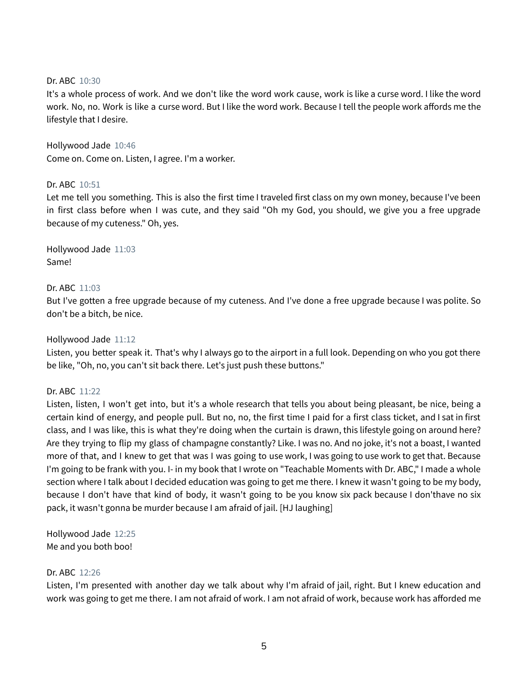## Dr. ABC 10:30

It's a whole process of work. And we don't like the word work cause, work is like a curse word. I like the word work. No, no. Work is like a curse word. But I like the word work. Because I tell the people work affords me the lifestyle that I desire.

Hollywood Jade 10:46 Come on. Come on. Listen, I agree. I'm a worker.

## Dr. ABC 10:51

Let me tell you something. This is also the first time I traveled first class on my own money, because I've been in first class before when I was cute, and they said "Oh my God, you should, we give you a free upgrade because of my cuteness." Oh, yes.

Hollywood Jade 11:03 Same!

## Dr. ABC 11:03

But I've gotten a free upgrade because of my cuteness. And I've done a free upgrade because I was polite. So don't be a bitch, be nice.

Hollywood Jade 11:12

Listen, you better speak it. That's why I always go to the airport in a full look. Depending on who you got there be like, "Oh, no, you can't sit back there. Let's just push these buttons."

#### Dr. ABC 11:22

Listen, listen, I won't get into, but it's a whole research that tells you about being pleasant, be nice, being a certain kind of energy, and people pull. But no, no, the first time I paid for a first class ticket, and I sat in first class, and I was like, this is what they're doing when the curtain is drawn, this lifestyle going on around here? Are they trying to flip my glass of champagne constantly? Like. I was no. And no joke, it's not a boast, I wanted more of that, and I knew to get that was I was going to use work, I was going to use work to get that. Because I'm going to be frank with you. I- in my book that I wrote on "Teachable Moments with Dr. ABC," I made a whole section where I talk about I decided education was going to get me there. I knew it wasn't going to be my body, because I don't have that kind of body, it wasn't going to be you know six pack because I don'thave no six pack, it wasn't gonna be murder because I am afraid of jail. [HJ laughing]

Hollywood Jade 12:25 Me and you both boo!

#### Dr. ABC 12:26

Listen, I'm presented with another day we talk about why I'm afraid of jail, right. But I knew education and work was going to get me there. I am not afraid of work. I am not afraid of work, because work has afforded me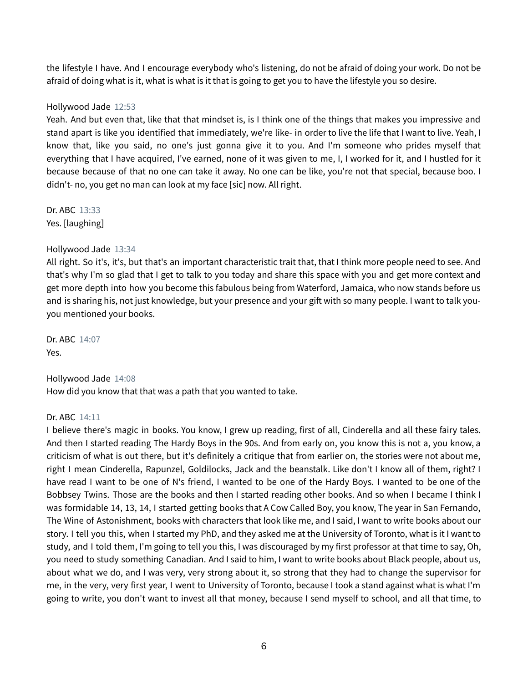the lifestyle I have. And I encourage everybody who's listening, do not be afraid of doing your work. Do not be afraid of doing what is it, what is what is it that is going to get you to have the lifestyle you so desire.

## Hollywood Jade 12:53

Yeah. And but even that, like that that mindset is, is I think one of the things that makes you impressive and stand apart is like you identified that immediately, we're like- in order to live the life that I want to live. Yeah, I know that, like you said, no one's just gonna give it to you. And I'm someone who prides myself that everything that I have acquired, I've earned, none of it was given to me, I, I worked for it, and I hustled for it because because of that no one can take it away. No one can be like, you're not that special, because boo. I didn't- no, you get no man can look at my face [sic] now. All right.

Dr. ABC 13:33 Yes. [laughing]

## Hollywood Jade 13:34

All right. So it's, it's, but that's an important characteristic trait that, that I think more people need to see. And that's why I'm so glad that I get to talk to you today and share this space with you and get more context and get more depth into how you become this fabulous being from Waterford, Jamaica, who now stands before us and is sharing his, not just knowledge, but your presence and your gift with so many people. I want to talk youyou mentioned your books.

Dr. ABC 14:07 Yes.

Hollywood Jade 14:08 How did you know that that was a path that you wanted to take.

## Dr. ABC 14:11

I believe there's magic in books. You know, I grew up reading, first of all, Cinderella and all these fairy tales. And then I started reading The Hardy Boys in the 90s. And from early on, you know this is not a, you know, a criticism of what is out there, but it's definitely a critique that from earlier on, the stories were not about me, right I mean Cinderella, Rapunzel, Goldilocks, Jack and the beanstalk. Like don't I know all of them, right? I have read I want to be one of N's friend, I wanted to be one of the Hardy Boys. I wanted to be one of the Bobbsey Twins. Those are the books and then I started reading other books. And so when I became I think I was formidable 14, 13, 14, I started getting books that A Cow Called Boy, you know, The year in San Fernando, The Wine of Astonishment, books with characters that look like me, and I said, I want to write books about our story. I tell you this, when I started my PhD, and they asked me at the University of Toronto, what is it I want to study, and I told them, I'm going to tell you this, I was discouraged by my first professor at that time to say, Oh, you need to study something Canadian. And I said to him, I want to write books about Black people, about us, about what we do, and I was very, very strong about it, so strong that they had to change the supervisor for me, in the very, very first year, I went to University of Toronto, because I took a stand against what is what I'm going to write, you don't want to invest all that money, because I send myself to school, and all that time, to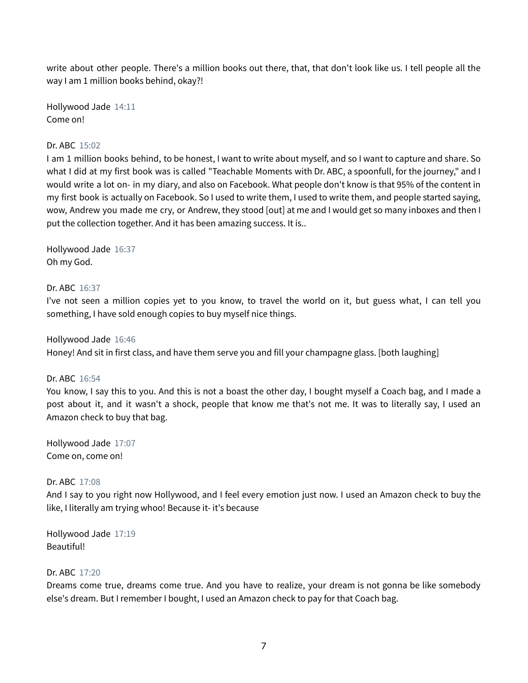write about other people. There's a million books out there, that, that don't look like us. I tell people all the way I am 1 million books behind, okay?!

Hollywood Jade 14:11 Come on!

## Dr. ABC 15:02

I am 1 million books behind, to be honest, I want to write about myself, and so I want to capture and share. So what I did at my first book was is called "Teachable Moments with Dr. ABC, a spoonfull, for the journey," and I would write a lot on- in my diary, and also on Facebook. What people don't know is that 95% of the content in my first book is actually on Facebook. So I used to write them, I used to write them, and people started saying, wow, Andrew you made me cry, or Andrew, they stood [out] at me and I would get so many inboxes and then I put the collection together. And it has been amazing success. It is..

Hollywood Jade 16:37 Oh my God.

#### Dr. ABC 16:37

I've not seen a million copies yet to you know, to travel the world on it, but guess what, I can tell you something, I have sold enough copies to buy myself nice things.

Hollywood Jade 16:46

Honey! And sit in first class, and have them serve you and fill your champagne glass. [both laughing]

#### Dr. ABC 16:54

You know, I say this to you. And this is not a boast the other day, I bought myself a Coach bag, and I made a post about it, and it wasn't a shock, people that know me that's not me. It was to literally say, I used an Amazon check to buy that bag.

Hollywood Jade 17:07 Come on, come on!

#### Dr. ABC 17:08

And I say to you right now Hollywood, and I feel every emotion just now. I used an Amazon check to buy the like, I literally am trying whoo! Because it- it's because

Hollywood Jade 17:19 Beautiful!

#### Dr. ABC 17:20

Dreams come true, dreams come true. And you have to realize, your dream is not gonna be like somebody else's dream. But I remember I bought, I used an Amazon check to pay for that Coach bag.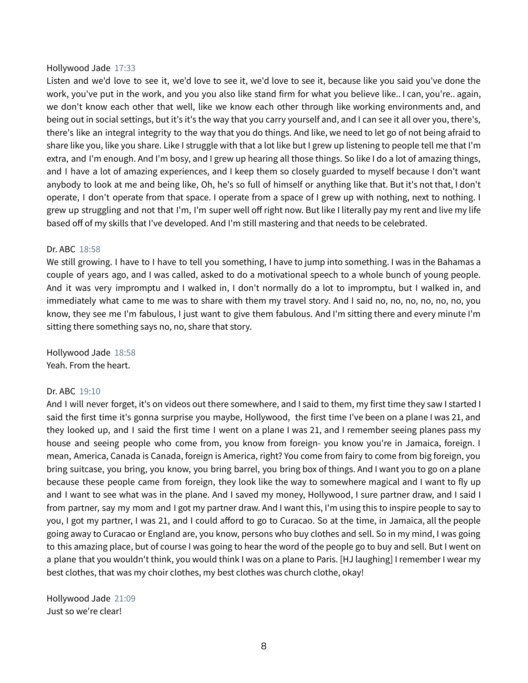#### Hollywood Jade 17:33

Listen and we'd love to see it, we'd love to see it, we'd love to see it, because like you said you've done the work, you've put in the work, and you you also like stand firm for what you believe like.. I can, you're.. again, we don't know each other that well, like we know each other through like working environments and, and being out in social settings, but it's it's the way that you carry yourself and, and I can see it all over you, there's, there's like an integral integrity to the way that you do things. And like, we need to let go of not being afraid to share like you, like you share. Like I struggle with that a lot like but I grew up listening to people tell me that I'm extra, and I'm enough. And I'm bosy, and I grew up hearing all those things. So like I do a lot of amazing things, and I have a lot of amazing experiences, and I keep them so closely guarded to myself because I don't want anybody to look at me and being like, Oh, he's so full of himself or anything like that. But it's not that, I don't operate, I don't operate from that space. I operate from a space of I grew up with nothing, next to nothing. I grew up struggling and not that I'm, I'm super well off right now. But like I literally pay my rent and live my life based off of my skills that I've developed. And I'm still mastering and that needs to be celebrated.

#### Dr. ABC 18:58

We still growing. I have to I have to tell you something, I have to jump into something. I was in the Bahamas a couple of years ago, and I was called, asked to do a motivational speech to a whole bunch of young people. And it was very impromptu and I walked in, I don't normally do a lot to impromptu, but I walked in, and immediately what came to me was to share with them my travel story. And I said no, no, no, no, no, no, you know, they see me I'm fabulous, I just want to give them fabulous. And I'm sitting there and every minute I'm sitting there something says no, no, share that story.

Hollywood Jade 18:58 Yeah. From the heart.

#### Dr. ABC 19:10

And I will never forget, it's on videos out there somewhere, and I said to them, my first time they saw I started I said the first time it's gonna surprise you maybe, Hollywood, the first time I've been on a plane I was 21, and they looked up, and I said the first time I went on a plane I was 21, and I remember seeing planes pass my house and seeing people who come from, you know from foreign- you know you're in Jamaica, foreign. I mean, America, Canada is Canada, foreign is America, right? You come from fairy to come from big foreign, you bring suitcase, you bring, you know, you bring barrel, you bring box of things. And I want you to go on a plane because these people came from foreign, they look like the way to somewhere magical and I want to fly up and I want to see what was in the plane. And I saved my money, Hollywood, I sure partner draw, and I said I from partner, say my mom and I got my partner draw. And I want this, I'm using this to inspire people to say to you, I got my partner, I was 21, and I could afford to go to Curacao. So at the time, in Jamaica, all the people going away to Curacao or England are, you know, persons who buy clothes and sell. So in my mind, I was going to this amazing place, but of course I was going to hear the word of the people go to buy and sell. But I went on a plane that you wouldn't think, you would think I was on a plane to Paris. [HJ laughing] I remember I wear my best clothes, that was my choir clothes, my best clothes was church clothe, okay!

Hollywood Jade 21:09 Just so we're clear!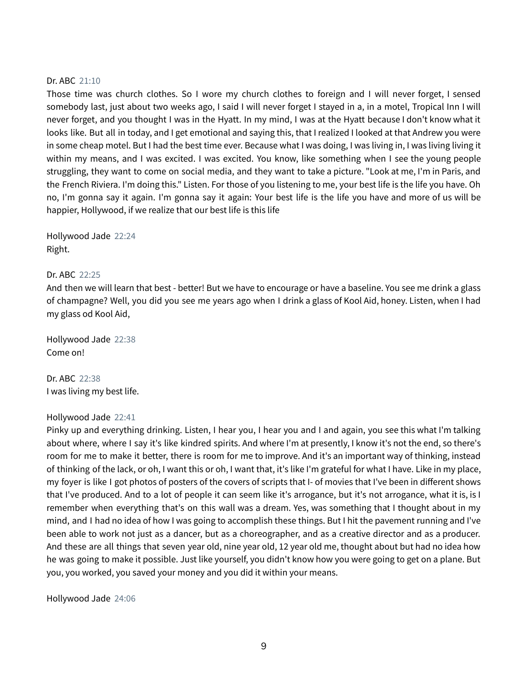## Dr. ABC 21:10

Those time was church clothes. So I wore my church clothes to foreign and I will never forget, I sensed somebody last, just about two weeks ago, I said I will never forget I stayed in a, in a motel, Tropical Inn I will never forget, and you thought I was in the Hyatt. In my mind, I was at the Hyatt because I don't know what it looks like. But all in today, and I get emotional and saying this, that I realized I looked at that Andrew you were in some cheap motel. But I had the best time ever. Because what I was doing, I was living in, I was living living it within my means, and I was excited. I was excited. You know, like something when I see the young people struggling, they want to come on social media, and they want to take a picture. "Look at me, I'm in Paris, and the French Riviera. I'm doing this." Listen. For those of you listening to me, your best life is the life you have. Oh no, I'm gonna say it again. I'm gonna say it again: Your best life is the life you have and more of us will be happier, Hollywood, if we realize that our best life is this life

Hollywood Jade 22:24 Right.

## Dr. ABC 22:25

And then we will learn that best - better! But we have to encourage or have a baseline. You see me drink a glass of champagne? Well, you did you see me years ago when I drink a glass of Kool Aid, honey. Listen, when I had my glass od Kool Aid,

Hollywood Jade 22:38 Come on!

Dr. ABC 22:38 I was living my best life.

#### Hollywood Jade 22:41

Pinky up and everything drinking. Listen, I hear you, I hear you and I and again, you see this what I'm talking about where, where I say it's like kindred spirits. And where I'm at presently, I know it's not the end, so there's room for me to make it better, there is room for me to improve. And it's an important way of thinking, instead of thinking of the lack, or oh, I want this or oh, I want that, it's like I'm grateful for what I have. Like in my place, my foyer is like I got photos of posters of the covers of scripts that I- of movies that I've been in different shows that I've produced. And to a lot of people it can seem like it's arrogance, but it's not arrogance, what it is, is I remember when everything that's on this wall was a dream. Yes, was something that I thought about in my mind, and I had no idea of how I was going to accomplish these things. But I hit the pavement running and I've been able to work not just as a dancer, but as a choreographer, and as a creative director and as a producer. And these are all things that seven year old, nine year old, 12 year old me, thought about but had no idea how he was going to make it possible. Just like yourself, you didn't know how you were going to get on a plane. But you, you worked, you saved your money and you did it within your means.

Hollywood Jade 24:06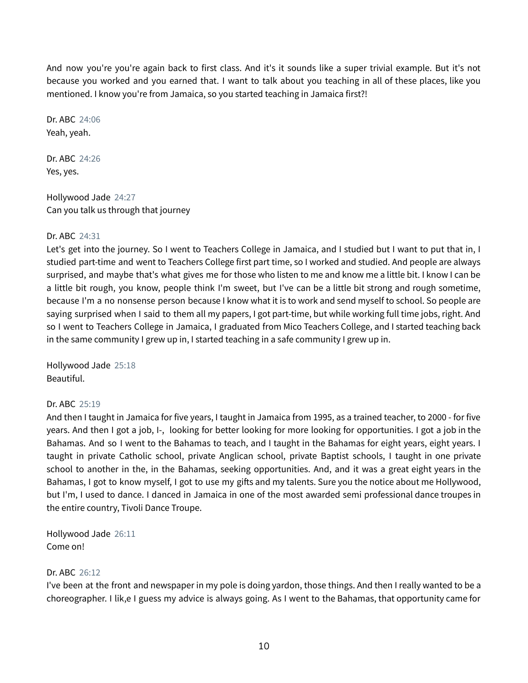And now you're you're again back to first class. And it's it sounds like a super trivial example. But it's not because you worked and you earned that. I want to talk about you teaching in all of these places, like you mentioned. I know you're from Jamaica, so you started teaching in Jamaica first?!

Dr. ABC 24:06 Yeah, yeah.

Dr. ABC 24:26 Yes, yes.

Hollywood Jade 24:27 Can you talk us through that journey

# Dr. ABC 24:31

Let's get into the journey. So I went to Teachers College in Jamaica, and I studied but I want to put that in, I studied part-time and went to Teachers College first part time, so I worked and studied. And people are always surprised, and maybe that's what gives me for those who listen to me and know me a little bit. I know I can be a little bit rough, you know, people think I'm sweet, but I've can be a little bit strong and rough sometime, because I'm a no nonsense person because I know what it is to work and send myself to school. So people are saying surprised when I said to them all my papers, I got part-time, but while working full time jobs, right. And so I went to Teachers College in Jamaica, I graduated from Mico Teachers College, and I started teaching back in the same community I grew up in, I started teaching in a safe community I grew up in.

Hollywood Jade 25:18 Beautiful.

# Dr. ABC 25:19

And then I taught in Jamaica for five years, I taught in Jamaica from 1995, as a trained teacher, to 2000 - for five years. And then I got a job, I-, looking for better looking for more looking for opportunities. I got a job in the Bahamas. And so I went to the Bahamas to teach, and I taught in the Bahamas for eight years, eight years. I taught in private Catholic school, private Anglican school, private Baptist schools, I taught in one private school to another in the, in the Bahamas, seeking opportunities. And, and it was a great eight years in the Bahamas, I got to know myself, I got to use my gifts and my talents. Sure you the notice about me Hollywood, but I'm, I used to dance. I danced in Jamaica in one of the most awarded semi professional dance troupes in the entire country, Tivoli Dance Troupe.

Hollywood Jade 26:11 Come on!

# Dr. ABC 26:12

I've been at the front and newspaper in my pole is doing yardon, those things. And then I really wanted to be a choreographer. I lik,e I guess my advice is always going. As I went to the Bahamas, that opportunity came for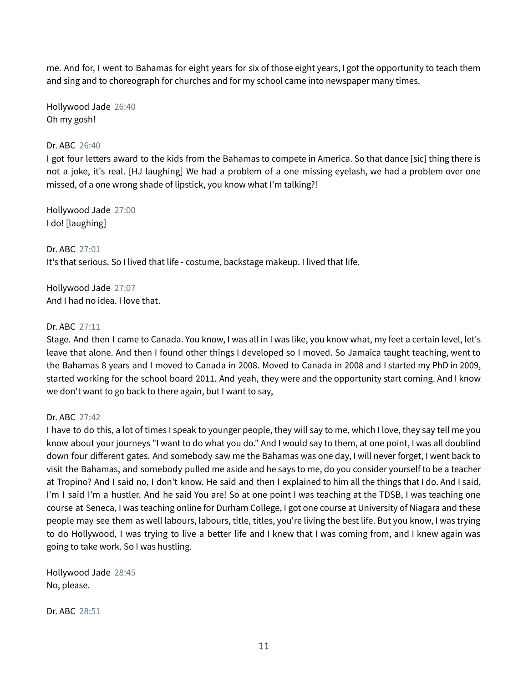me. And for, I went to Bahamas for eight years for six of those eight years, I got the opportunity to teach them and sing and to choreograph for churches and for my school came into newspaper many times.

Hollywood Jade 26:40 Oh my gosh!

## Dr. ABC 26:40

I got four letters award to the kids from the Bahamas to compete in America. So that dance [sic] thing there is not a joke, it's real. [HJ laughing] We had a problem of a one missing eyelash, we had a problem over one missed, of a one wrong shade of lipstick, you know what I'm talking?!

Hollywood Jade 27:00 I do! [laughing]

Dr. ABC 27:01 It's that serious. So I lived that life - costume, backstage makeup. I lived that life.

Hollywood Jade 27:07 And I had no idea. I love that.

## Dr. ABC 27:11

Stage. And then I came to Canada. You know, I was all in I was like, you know what, my feet a certain level, let's leave that alone. And then I found other things I developed so I moved. So Jamaica taught teaching, went to the Bahamas 8 years and I moved to Canada in 2008. Moved to Canada in 2008 and I started my PhD in 2009, started working for the school board 2011. And yeah, they were and the opportunity start coming. And I know we don't want to go back to there again, but I want to say,

## Dr. ABC 27:42

I have to do this, a lot of times I speak to younger people, they will say to me, which I love, they say tell me you know about your journeys "I want to do what you do." And I would say to them, at one point, I was all doublind down four different gates. And somebody saw me the Bahamas was one day, I will never forget, I went back to visit the Bahamas, and somebody pulled me aside and he says to me, do you consider yourself to be a teacher at Tropino? And I said no, I don't know. He said and then I explained to him all the things that I do. And I said, I'm I said I'm a hustler. And he said You are! So at one point I was teaching at the TDSB, I was teaching one course at Seneca, I was teaching online for Durham College, I got one course at University of Niagara and these people may see them as well labours, labours, title, titles, you're living the best life. But you know, I was trying to do Hollywood, I was trying to live a better life and I knew that I was coming from, and I knew again was going to take work. So I was hustling.

Hollywood Jade 28:45 No, please.

Dr. ABC 28:51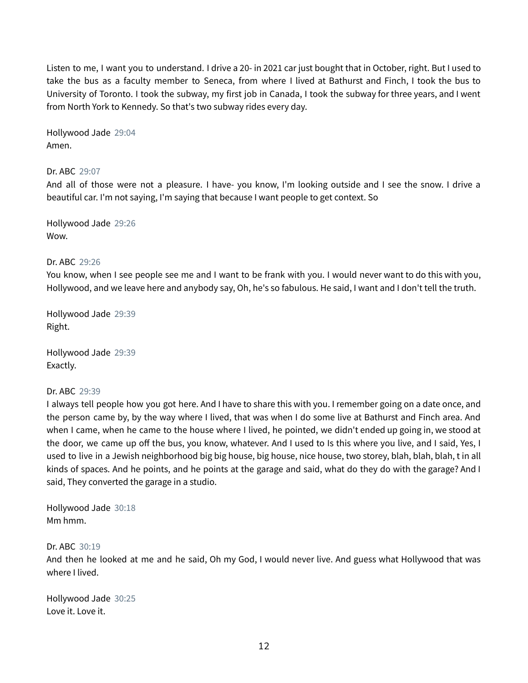Listen to me, I want you to understand. I drive a 20- in 2021 car just bought that in October, right. But I used to take the bus as a faculty member to Seneca, from where I lived at Bathurst and Finch, I took the bus to University of Toronto. I took the subway, my first job in Canada, I took the subway for three years, and I went from North York to Kennedy. So that's two subway rides every day.

Hollywood Jade 29:04 Amen.

Dr. ABC 29:07

And all of those were not a pleasure. I have- you know, I'm looking outside and I see the snow. I drive a beautiful car. I'm not saying, I'm saying that because I want people to get context. So

Hollywood Jade 29:26 Wow.

## Dr. ABC 29:26

You know, when I see people see me and I want to be frank with you. I would never want to do this with you, Hollywood, and we leave here and anybody say, Oh, he's so fabulous. He said, I want and I don't tell the truth.

Hollywood Jade 29:39 Right.

Hollywood Jade 29:39 Exactly.

#### Dr. ABC 29:39

I always tell people how you got here. And I have to share this with you. I remember going on a date once, and the person came by, by the way where I lived, that was when I do some live at Bathurst and Finch area. And when I came, when he came to the house where I lived, he pointed, we didn't ended up going in, we stood at the door, we came up off the bus, you know, whatever. And I used to Is this where you live, and I said, Yes, I used to live in a Jewish neighborhood big big house, big house, nice house, two storey, blah, blah, blah, t in all kinds of spaces. And he points, and he points at the garage and said, what do they do with the garage? And I said, They converted the garage in a studio.

Hollywood Jade 30:18 Mm hmm.

Dr. ABC 30:19

And then he looked at me and he said, Oh my God, I would never live. And guess what Hollywood that was where I lived.

Hollywood Jade 30:25 Love it. Love it.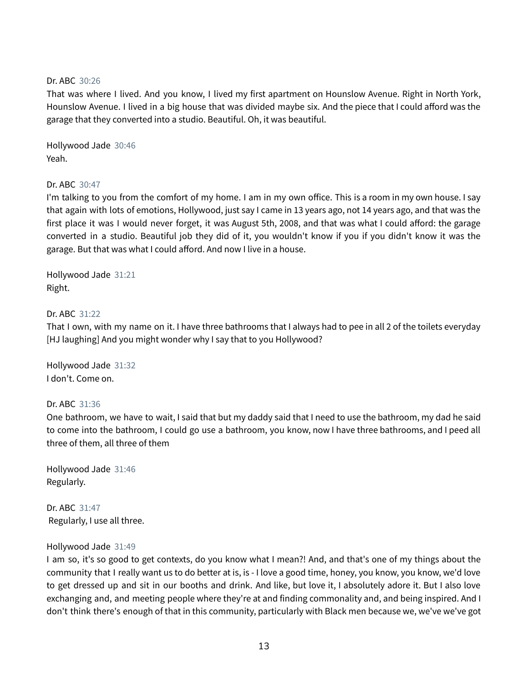## Dr. ABC 30:26

That was where I lived. And you know, I lived my first apartment on Hounslow Avenue. Right in North York, Hounslow Avenue. I lived in a big house that was divided maybe six. And the piece that I could afford was the garage that they converted into a studio. Beautiful. Oh, it was beautiful.

Hollywood Jade 30:46 Yeah.

## Dr. ABC 30:47

I'm talking to you from the comfort of my home. I am in my own office. This is a room in my own house. I say that again with lots of emotions, Hollywood, just say I came in 13 years ago, not 14 years ago, and that was the first place it was I would never forget, it was August 5th, 2008, and that was what I could afford: the garage converted in a studio. Beautiful job they did of it, you wouldn't know if you if you didn't know it was the garage. But that was what I could afford. And now I live in a house.

Hollywood Jade 31:21 Right.

## Dr. ABC 31:22

That I own, with my name on it. I have three bathrooms that I always had to pee in all 2 of the toilets everyday [HJ laughing] And you might wonder why I say that to you Hollywood?

Hollywood Jade 31:32 I don't. Come on.

#### Dr. ABC 31:36

One bathroom, we have to wait, I said that but my daddy said that I need to use the bathroom, my dad he said to come into the bathroom, I could go use a bathroom, you know, now I have three bathrooms, and I peed all three of them, all three of them

Hollywood Jade 31:46 Regularly.

Dr. ABC 31:47 Regularly, I use all three.

#### Hollywood Jade 31:49

I am so, it's so good to get contexts, do you know what I mean?! And, and that's one of my things about the community that I really want us to do better at is, is - I love a good time, honey, you know, you know, we'd love to get dressed up and sit in our booths and drink. And like, but love it, I absolutely adore it. But I also love exchanging and, and meeting people where they're at and finding commonality and, and being inspired. And I don't think there's enough of that in this community, particularly with Black men because we, we've we've got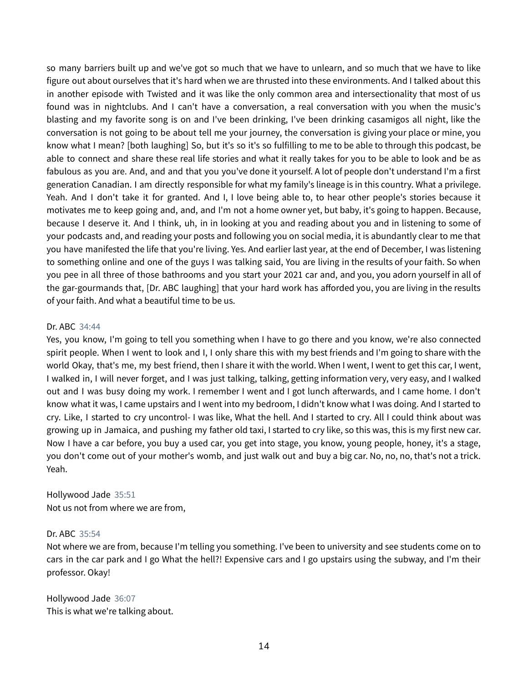so many barriers built up and we've got so much that we have to unlearn, and so much that we have to like figure out about ourselves that it's hard when we are thrusted into these environments. And I talked about this in another episode with Twisted and it was like the only common area and intersectionality that most of us found was in nightclubs. And I can't have a conversation, a real conversation with you when the music's blasting and my favorite song is on and I've been drinking, I've been drinking casamigos all night, like the conversation is not going to be about tell me your journey, the conversation is giving your place or mine, you know what I mean? [both laughing] So, but it's so it's so fulfilling to me to be able to through this podcast, be able to connect and share these real life stories and what it really takes for you to be able to look and be as fabulous as you are. And, and and that you you've done it yourself. A lot of people don't understand I'm a first generation Canadian. I am directly responsible for what my family's lineage is in this country. What a privilege. Yeah. And I don't take it for granted. And I, I love being able to, to hear other people's stories because it motivates me to keep going and, and, and I'm not a home owner yet, but baby, it's going to happen. Because, because I deserve it. And I think, uh, in in looking at you and reading about you and in listening to some of your podcasts and, and reading your posts and following you on social media, it is abundantly clear to me that you have manifested the life that you're living. Yes. And earlier last year, at the end of December, I was listening to something online and one of the guys I was talking said, You are living in the results of your faith. So when you pee in all three of those bathrooms and you start your 2021 car and, and you, you adorn yourself in all of the gar-gourmands that, [Dr. ABC laughing] that your hard work has afforded you, you are living in the results of your faith. And what a beautiful time to be us.

## Dr. ABC 34:44

Yes, you know, I'm going to tell you something when I have to go there and you know, we're also connected spirit people. When I went to look and I, I only share this with my best friends and I'm going to share with the world Okay, that's me, my best friend, then I share it with the world. When I went, I went to get this car, I went, I walked in, I will never forget, and I was just talking, talking, getting information very, very easy, and I walked out and I was busy doing my work. I remember I went and I got lunch afterwards, and I came home. I don't know what it was, I came upstairs and I went into my bedroom, I didn't know what I was doing. And I started to cry. Like, I started to cry uncontrol- I was like, What the hell. And I started to cry. All I could think about was growing up in Jamaica, and pushing my father old taxi, I started to cry like, so this was, this is my first new car. Now I have a car before, you buy a used car, you get into stage, you know, young people, honey, it's a stage, you don't come out of your mother's womb, and just walk out and buy a big car. No, no, no, that's not a trick. Yeah.

Hollywood Jade 35:51 Not us not from where we are from,

#### Dr. ABC 35:54

Not where we are from, because I'm telling you something. I've been to university and see students come on to cars in the car park and I go What the hell?! Expensive cars and I go upstairs using the subway, and I'm their professor. Okay!

Hollywood Jade 36:07 This is what we're talking about.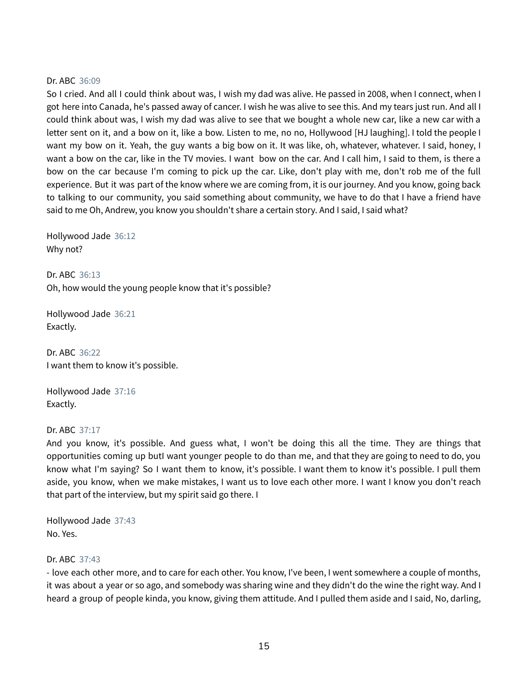#### Dr. ABC 36:09

So I cried. And all I could think about was, I wish my dad was alive. He passed in 2008, when I connect, when I got here into Canada, he's passed away of cancer. I wish he was alive to see this. And my tears just run. And all I could think about was, I wish my dad was alive to see that we bought a whole new car, like a new car with a letter sent on it, and a bow on it, like a bow. Listen to me, no no, Hollywood [HJ laughing]. I told the people I want my bow on it. Yeah, the guy wants a big bow on it. It was like, oh, whatever, whatever. I said, honey, I want a bow on the car, like in the TV movies. I want bow on the car. And I call him, I said to them, is there a bow on the car because I'm coming to pick up the car. Like, don't play with me, don't rob me of the full experience. But it was part of the know where we are coming from, it is our journey. And you know, going back to talking to our community, you said something about community, we have to do that I have a friend have said to me Oh, Andrew, you know you shouldn't share a certain story. And I said, I said what?

Hollywood Jade 36:12 Why not?

Dr. ABC 36:13 Oh, how would the young people know that it's possible?

Hollywood Jade 36:21 Exactly.

Dr. ABC 36:22 I want them to know it's possible.

Hollywood Jade 37:16 Exactly.

#### Dr. ABC 37:17

And you know, it's possible. And guess what, I won't be doing this all the time. They are things that opportunities coming up butI want younger people to do than me, and that they are going to need to do, you know what I'm saying? So I want them to know, it's possible. I want them to know it's possible. I pull them aside, you know, when we make mistakes, I want us to love each other more. I want I know you don't reach that part of the interview, but my spirit said go there. I

Hollywood Jade 37:43 No. Yes.

#### Dr. ABC 37:43

- love each other more, and to care for each other. You know, I've been, I went somewhere a couple of months, it was about a year or so ago, and somebody was sharing wine and they didn't do the wine the right way. And I heard a group of people kinda, you know, giving them attitude. And I pulled them aside and I said, No, darling,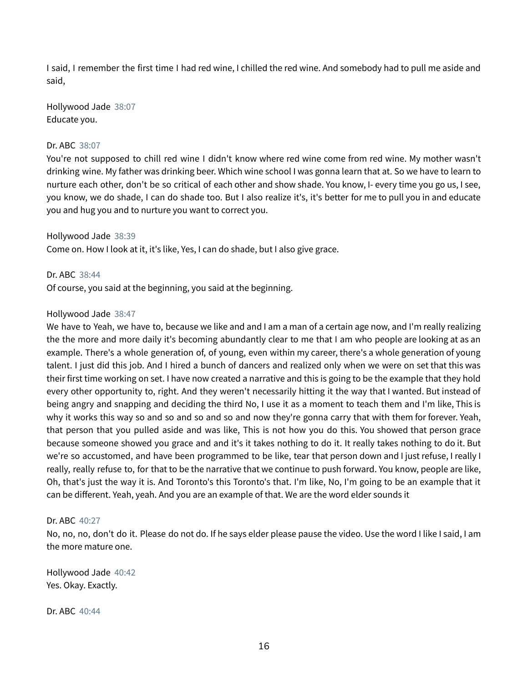I said, I remember the first time I had red wine, I chilled the red wine. And somebody had to pull me aside and said,

Hollywood Jade 38:07 Educate you.

## Dr. ABC 38:07

You're not supposed to chill red wine I didn't know where red wine come from red wine. My mother wasn't drinking wine. My father was drinking beer. Which wine school I was gonna learn that at. So we have to learn to nurture each other, don't be so critical of each other and show shade. You know, I- every time you go us, I see, you know, we do shade, I can do shade too. But I also realize it's, it's better for me to pull you in and educate you and hug you and to nurture you want to correct you.

Hollywood Jade 38:39 Come on. How I look at it, it's like, Yes, I can do shade, but I also give grace.

Dr. ABC 38:44 Of course, you said at the beginning, you said at the beginning.

## Hollywood Jade 38:47

We have to Yeah, we have to, because we like and and I am a man of a certain age now, and I'm really realizing the the more and more daily it's becoming abundantly clear to me that I am who people are looking at as an example. There's a whole generation of, of young, even within my career, there's a whole generation of young talent. I just did this job. And I hired a bunch of dancers and realized only when we were on set that this was their first time working on set. I have now created a narrative and this is going to be the example that they hold every other opportunity to, right. And they weren't necessarily hitting it the way that I wanted. But instead of being angry and snapping and deciding the third No, I use it as a moment to teach them and I'm like, This is why it works this way so and so and so and so and now they're gonna carry that with them for forever. Yeah, that person that you pulled aside and was like, This is not how you do this. You showed that person grace because someone showed you grace and and it's it takes nothing to do it. It really takes nothing to do it. But we're so accustomed, and have been programmed to be like, tear that person down and I just refuse, I really I really, really refuse to, for that to be the narrative that we continue to push forward. You know, people are like, Oh, that's just the way it is. And Toronto's this Toronto's that. I'm like, No, I'm going to be an example that it can be different. Yeah, yeah. And you are an example of that. We are the word elder sounds it

#### Dr. ABC 40:27

No, no, no, don't do it. Please do not do. If he says elder please pause the video. Use the word I like I said, I am the more mature one.

Hollywood Jade 40:42 Yes. Okay. Exactly.

Dr. ABC 40:44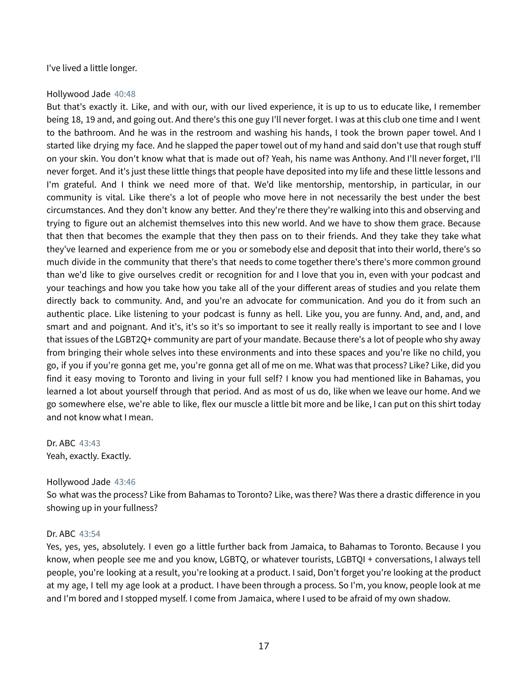I've lived a little longer.

#### Hollywood Jade 40:48

But that's exactly it. Like, and with our, with our lived experience, it is up to us to educate like, I remember being 18, 19 and, and going out. And there's this one guy I'll never forget. I was at this club one time and I went to the bathroom. And he was in the restroom and washing his hands, I took the brown paper towel. And I started like drying my face. And he slapped the paper towel out of my hand and said don't use that rough stuff on your skin. You don't know what that is made out of? Yeah, his name was Anthony. And I'll never forget, I'll never forget. And it's just these little things that people have deposited into my life and these little lessons and I'm grateful. And I think we need more of that. We'd like mentorship, mentorship, in particular, in our community is vital. Like there's a lot of people who move here in not necessarily the best under the best circumstances. And they don't know any better. And they're there they're walking into this and observing and trying to figure out an alchemist themselves into this new world. And we have to show them grace. Because that then that becomes the example that they then pass on to their friends. And they take they take what they've learned and experience from me or you or somebody else and deposit that into their world, there's so much divide in the community that there's that needs to come together there's there's more common ground than we'd like to give ourselves credit or recognition for and I love that you in, even with your podcast and your teachings and how you take how you take all of the your different areas of studies and you relate them directly back to community. And, and you're an advocate for communication. And you do it from such an authentic place. Like listening to your podcast is funny as hell. Like you, you are funny. And, and, and, and smart and and poignant. And it's, it's so it's so important to see it really really is important to see and I love that issues of the LGBT2Q+ community are part of your mandate. Because there's a lot of people who shy away from bringing their whole selves into these environments and into these spaces and you're like no child, you go, if you if you're gonna get me, you're gonna get all of me on me. What was that process? Like? Like, did you find it easy moving to Toronto and living in your full self? I know you had mentioned like in Bahamas, you learned a lot about yourself through that period. And as most of us do, like when we leave our home. And we go somewhere else, we're able to like, flex our muscle a little bit more and be like, I can put on this shirt today and not know what I mean.

Dr. ABC 43:43 Yeah, exactly. Exactly.

#### Hollywood Jade 43:46

So what was the process? Like from Bahamas to Toronto? Like, was there? Was there a drastic difference in you showing up in your fullness?

#### Dr. ABC 43:54

Yes, yes, yes, absolutely. I even go a little further back from Jamaica, to Bahamas to Toronto. Because I you know, when people see me and you know, LGBTQ, or whatever tourists, LGBTQI + conversations, I always tell people, you're looking at a result, you're looking at a product. I said, Don't forget you're looking at the product at my age, I tell my age look at a product. I have been through a process. So I'm, you know, people look at me and I'm bored and I stopped myself. I come from Jamaica, where I used to be afraid of my own shadow.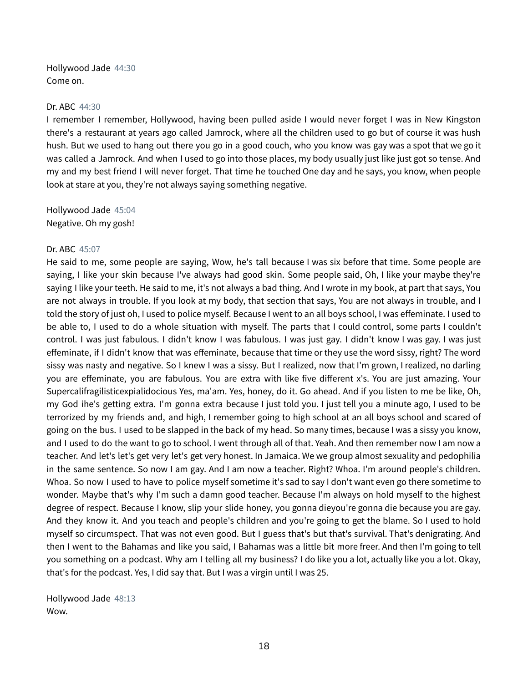Hollywood Jade 44:30 Come on.

#### Dr. ABC 44:30

I remember I remember, Hollywood, having been pulled aside I would never forget I was in New Kingston there's a restaurant at years ago called Jamrock, where all the children used to go but of course it was hush hush. But we used to hang out there you go in a good couch, who you know was gay was a spot that we go it was called a Jamrock. And when I used to go into those places, my body usually just like just got so tense. And my and my best friend I will never forget. That time he touched One day and he says, you know, when people look at stare at you, they're not always saying something negative.

Hollywood Jade 45:04 Negative. Oh my gosh!

#### Dr. ABC 45:07

He said to me, some people are saying, Wow, he's tall because I was six before that time. Some people are saying, I like your skin because I've always had good skin. Some people said, Oh, I like your maybe they're saying I like your teeth. He said to me, it's not always a bad thing. And I wrote in my book, at part that says, You are not always in trouble. If you look at my body, that section that says, You are not always in trouble, and I told the story of just oh, I used to police myself. Because I went to an all boys school, I was effeminate. I used to be able to, I used to do a whole situation with myself. The parts that I could control, some parts I couldn't control. I was just fabulous. I didn't know I was fabulous. I was just gay. I didn't know I was gay. I was just effeminate, if I didn't know that was effeminate, because that time or they use the word sissy, right? The word sissy was nasty and negative. So I knew I was a sissy. But I realized, now that I'm grown, I realized, no darling you are effeminate, you are fabulous. You are extra with like five different x's. You are just amazing. Your Supercalifragilisticexpialidocious Yes, ma'am. Yes, honey, do it. Go ahead. And if you listen to me be like, Oh, my God ihe's getting extra. I'm gonna extra because I just told you. I just tell you a minute ago, I used to be terrorized by my friends and, and high, I remember going to high school at an all boys school and scared of going on the bus. I used to be slapped in the back of my head. So many times, because I was a sissy you know, and I used to do the want to go to school. I went through all of that. Yeah. And then remember now I am now a teacher. And let's let's get very let's get very honest. In Jamaica. We we group almost sexuality and pedophilia in the same sentence. So now I am gay. And I am now a teacher. Right? Whoa. I'm around people's children. Whoa. So now I used to have to police myself sometime it's sad to say I don't want even go there sometime to wonder. Maybe that's why I'm such a damn good teacher. Because I'm always on hold myself to the highest degree of respect. Because I know, slip your slide honey, you gonna dieyou're gonna die because you are gay. And they know it. And you teach and people's children and you're going to get the blame. So I used to hold myself so circumspect. That was not even good. But I guess that's but that's survival. That's denigrating. And then I went to the Bahamas and like you said, I Bahamas was a little bit more freer. And then I'm going to tell you something on a podcast. Why am I telling all my business? I do like you a lot, actually like you a lot. Okay, that's for the podcast. Yes, I did say that. But I was a virgin until I was 25.

Hollywood Jade 48:13 Wow.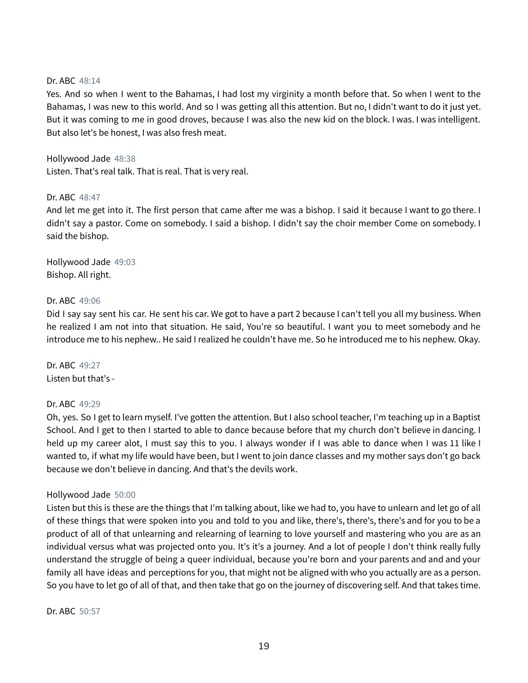## Dr. ABC 48:14

Yes. And so when I went to the Bahamas, I had lost my virginity a month before that. So when I went to the Bahamas, I was new to this world. And so I was getting all this attention. But no, I didn't want to do it just yet. But it was coming to me in good droves, because I was also the new kid on the block. I was. I was intelligent. But also let's be honest, I was also fresh meat.

Hollywood Jade 48:38 Listen. That's real talk. That is real. That is very real.

## Dr. ABC 48:47

And let me get into it. The first person that came after me was a bishop. I said it because I want to go there. I didn't say a pastor. Come on somebody. I said a bishop. I didn't say the choir member Come on somebody. I said the bishop.

Hollywood Jade 49:03 Bishop. All right.

## Dr. ABC 49:06

Did I say say sent his car. He sent his car. We got to have a part 2 because I can't tell you all my business. When he realized I am not into that situation. He said, You're so beautiful. I want you to meet somebody and he introduce me to his nephew.. He said I realized he couldn't have me. So he introduced me to his nephew. Okay.

Dr. ABC 49:27 Listen but that's -

#### Dr. ABC 49:29

Oh, yes. So I get to learn myself. I've gotten the attention. But I also school teacher, I'm teaching up in a Baptist School. And I get to then I started to able to dance because before that my church don't believe in dancing. I held up my career alot, I must say this to you. I always wonder if I was able to dance when I was 11 like I wanted to, if what my life would have been, but I went to join dance classes and my mother says don't go back because we don't believe in dancing. And that's the devils work.

#### Hollywood Jade 50:00

Listen but this is these are the things that I'm talking about, like we had to, you have to unlearn and let go of all of these things that were spoken into you and told to you and like, there's, there's, there's and for you to be a product of all of that unlearning and relearning of learning to love yourself and mastering who you are as an individual versus what was projected onto you. It's it's a journey. And a lot of people I don't think really fully understand the struggle of being a queer individual, because you're born and your parents and and and your family all have ideas and perceptions for you, that might not be aligned with who you actually are as a person. So you have to let go of all of that, and then take that go on the journey of discovering self. And that takes time.

Dr. ABC 50:57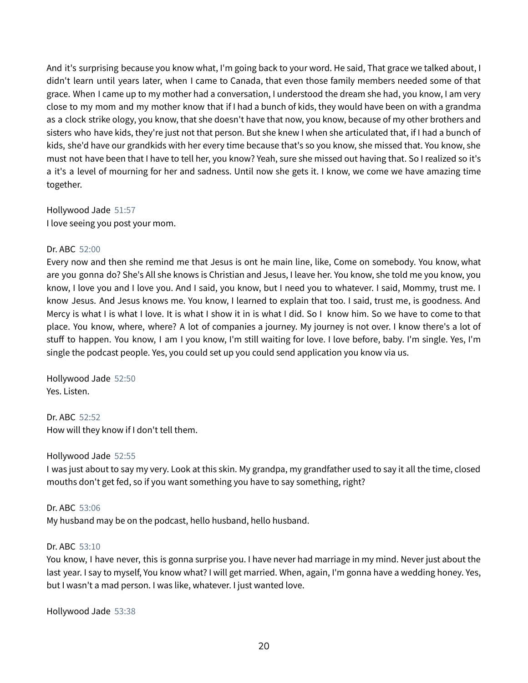And it's surprising because you know what, I'm going back to your word. He said, That grace we talked about, I didn't learn until years later, when I came to Canada, that even those family members needed some of that grace. When I came up to my mother had a conversation, I understood the dream she had, you know, I am very close to my mom and my mother know that if I had a bunch of kids, they would have been on with a grandma as a clock strike ology, you know, that she doesn't have that now, you know, because of my other brothers and sisters who have kids, they're just not that person. But she knew I when she articulated that, if I had a bunch of kids, she'd have our grandkids with her every time because that's so you know, she missed that. You know, she must not have been that I have to tell her, you know? Yeah, sure she missed out having that. So I realized so it's a it's a level of mourning for her and sadness. Until now she gets it. I know, we come we have amazing time together.

Hollywood Jade 51:57

I love seeing you post your mom.

# Dr. ABC 52:00

Every now and then she remind me that Jesus is ont he main line, like, Come on somebody. You know, what are you gonna do? She's All she knows is Christian and Jesus, I leave her. You know, she told me you know, you know, I love you and I love you. And I said, you know, but I need you to whatever. I said, Mommy, trust me. I know Jesus. And Jesus knows me. You know, I learned to explain that too. I said, trust me, is goodness. And Mercy is what I is what I love. It is what I show it in is what I did. So I know him. So we have to come to that place. You know, where, where? A lot of companies a journey. My journey is not over. I know there's a lot of stuff to happen. You know, I am I you know, I'm still waiting for love. I love before, baby. I'm single. Yes, I'm single the podcast people. Yes, you could set up you could send application you know via us.

Hollywood Jade 52:50 Yes. Listen.

Dr. ABC 52:52 How will they know if I don't tell them.

# Hollywood Jade 52:55

I was just about to say my very. Look at this skin. My grandpa, my grandfather used to say it all the time, closed mouths don't get fed, so if you want something you have to say something, right?

# Dr. ABC 53:06

My husband may be on the podcast, hello husband, hello husband.

# Dr. ABC 53:10

You know, I have never, this is gonna surprise you. I have never had marriage in my mind. Never just about the last year. I say to myself, You know what? I will get married. When, again, I'm gonna have a wedding honey. Yes, but I wasn't a mad person. I was like, whatever. I just wanted love.

Hollywood Jade 53:38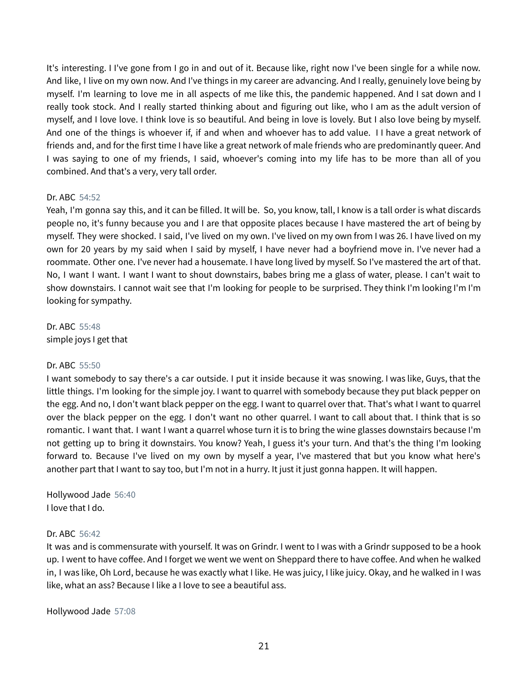It's interesting. I I've gone from I go in and out of it. Because like, right now I've been single for a while now. And like, I live on my own now. And I've things in my career are advancing. And I really, genuinely love being by myself. I'm learning to love me in all aspects of me like this, the pandemic happened. And I sat down and I really took stock. And I really started thinking about and figuring out like, who I am as the adult version of myself, and I love love. I think love is so beautiful. And being in love is lovely. But I also love being by myself. And one of the things is whoever if, if and when and whoever has to add value. I I have a great network of friends and, and for the first time I have like a great network of male friends who are predominantly queer. And I was saying to one of my friends, I said, whoever's coming into my life has to be more than all of you combined. And that's a very, very tall order.

## Dr. ABC 54:52

Yeah, I'm gonna say this, and it can be filled. It will be. So, you know, tall, I know is a tall order is what discards people no, it's funny because you and I are that opposite places because I have mastered the art of being by myself. They were shocked. I said, I've lived on my own. I've lived on my own from I was 26. I have lived on my own for 20 years by my said when I said by myself, I have never had a boyfriend move in. I've never had a roommate. Other one. I've never had a housemate. I have long lived by myself. So I've mastered the art of that. No, I want I want. I want I want to shout downstairs, babes bring me a glass of water, please. I can't wait to show downstairs. I cannot wait see that I'm looking for people to be surprised. They think I'm looking I'm I'm looking for sympathy.

Dr. ABC 55:48 simple joys I get that

#### Dr. ABC 55:50

I want somebody to say there's a car outside. I put it inside because it was snowing. I was like, Guys, that the little things. I'm looking for the simple joy. I want to quarrel with somebody because they put black pepper on the egg. And no, I don't want black pepper on the egg. I want to quarrel over that. That's what I want to quarrel over the black pepper on the egg. I don't want no other quarrel. I want to call about that. I think that is so romantic. I want that. I want I want a quarrel whose turn it is to bring the wine glasses downstairs because I'm not getting up to bring it downstairs. You know? Yeah, I guess it's your turn. And that's the thing I'm looking forward to. Because I've lived on my own by myself a year, I've mastered that but you know what here's another part that I want to say too, but I'm not in a hurry. It just it just gonna happen. It will happen.

Hollywood Jade 56:40 I love that I do.

#### Dr. ABC 56:42

It was and is commensurate with yourself. It was on Grindr. I went to I was with a Grindr supposed to be a hook up. I went to have coffee. And I forget we went we went on Sheppard there to have coffee. And when he walked in, I was like, Oh Lord, because he was exactly what I like. He was juicy, I like juicy. Okay, and he walked in I was like, what an ass? Because I like a I love to see a beautiful ass.

Hollywood Jade 57:08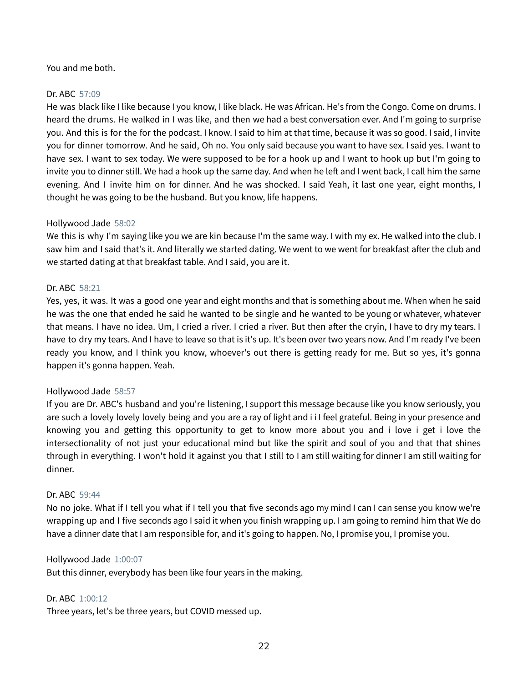## You and me both.

## Dr. ABC 57:09

He was black like I like because I you know, I like black. He was African. He's from the Congo. Come on drums. I heard the drums. He walked in I was like, and then we had a best conversation ever. And I'm going to surprise you. And this is for the for the podcast. I know. I said to him at that time, because it was so good. I said, I invite you for dinner tomorrow. And he said, Oh no. You only said because you want to have sex. I said yes. I want to have sex. I want to sex today. We were supposed to be for a hook up and I want to hook up but I'm going to invite you to dinner still. We had a hook up the same day. And when he left and I went back, I call him the same evening. And I invite him on for dinner. And he was shocked. I said Yeah, it last one year, eight months, I thought he was going to be the husband. But you know, life happens.

#### Hollywood Jade 58:02

We this is why I'm saying like you we are kin because I'm the same way. I with my ex. He walked into the club. I saw him and I said that's it. And literally we started dating. We went to we went for breakfast after the club and we started dating at that breakfast table. And I said, you are it.

#### Dr. ABC 58:21

Yes, yes, it was. It was a good one year and eight months and that is something about me. When when he said he was the one that ended he said he wanted to be single and he wanted to be young or whatever, whatever that means. I have no idea. Um, I cried a river. I cried a river. But then after the cryin, I have to dry my tears. I have to dry my tears. And I have to leave so that is it's up. It's been over two years now. And I'm ready I've been ready you know, and I think you know, whoever's out there is getting ready for me. But so yes, it's gonna happen it's gonna happen. Yeah.

#### Hollywood Jade 58:57

If you are Dr. ABC's husband and you're listening, I support this message because like you know seriously, you are such a lovely lovely lovely being and you are a ray of light and i i I feel grateful. Being in your presence and knowing you and getting this opportunity to get to know more about you and i love i get i love the intersectionality of not just your educational mind but like the spirit and soul of you and that that shines through in everything. I won't hold it against you that I still to I am still waiting for dinner I am still waiting for dinner.

#### Dr. ABC 59:44

No no joke. What if I tell you what if I tell you that five seconds ago my mind I can I can sense you know we're wrapping up and I five seconds ago I said it when you finish wrapping up. I am going to remind him that We do have a dinner date that I am responsible for, and it's going to happen. No, I promise you, I promise you.

#### Hollywood Jade 1:00:07

But this dinner, everybody has been like four years in the making.

# Dr. ABC 1:00:12

Three years, let's be three years, but COVID messed up.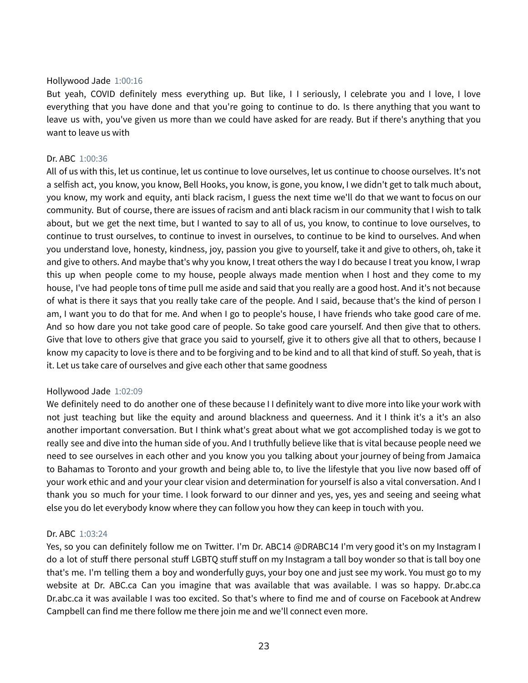#### Hollywood Jade 1:00:16

But yeah, COVID definitely mess everything up. But like, I I seriously, I celebrate you and I love, I love everything that you have done and that you're going to continue to do. Is there anything that you want to leave us with, you've given us more than we could have asked for are ready. But if there's anything that you want to leave us with

#### Dr. ABC 1:00:36

All of us with this, let us continue, let us continue to love ourselves, let us continue to choose ourselves. It's not a selfish act, you know, you know, Bell Hooks, you know, is gone, you know, I we didn't get to talk much about, you know, my work and equity, anti black racism, I guess the next time we'll do that we want to focus on our community. But of course, there are issues of racism and anti black racism in our community that I wish to talk about, but we get the next time, but I wanted to say to all of us, you know, to continue to love ourselves, to continue to trust ourselves, to continue to invest in ourselves, to continue to be kind to ourselves. And when you understand love, honesty, kindness, joy, passion you give to yourself, take it and give to others, oh, take it and give to others. And maybe that's why you know, I treat others the way I do because I treat you know, I wrap this up when people come to my house, people always made mention when I host and they come to my house, I've had people tons of time pull me aside and said that you really are a good host. And it's not because of what is there it says that you really take care of the people. And I said, because that's the kind of person I am, I want you to do that for me. And when I go to people's house, I have friends who take good care of me. And so how dare you not take good care of people. So take good care yourself. And then give that to others. Give that love to others give that grace you said to yourself, give it to others give all that to others, because I know my capacity to love is there and to be forgiving and to be kind and to all that kind of stuff. So yeah, that is it. Let us take care of ourselves and give each other that same goodness

#### Hollywood Jade 1:02:09

We definitely need to do another one of these because I I definitely want to dive more into like your work with not just teaching but like the equity and around blackness and queerness. And it I think it's a it's an also another important conversation. But I think what's great about what we got accomplished today is we got to really see and dive into the human side of you. And I truthfully believe like that is vital because people need we need to see ourselves in each other and you know you you talking about your journey of being from Jamaica to Bahamas to Toronto and your growth and being able to, to live the lifestyle that you live now based off of your work ethic and and your your clear vision and determination for yourself is also a vital conversation. And I thank you so much for your time. I look forward to our dinner and yes, yes, yes and seeing and seeing what else you do let everybody know where they can follow you how they can keep in touch with you.

#### Dr. ABC 1:03:24

Yes, so you can definitely follow me on Twitter. I'm Dr. ABC14 @DRABC14 I'm very good it's on my Instagram I do a lot of stuff there personal stuff LGBTQ stuff stuff on my Instagram a tall boy wonder so that is tall boy one that's me. I'm telling them a boy and wonderfully guys, your boy one and just see my work. You must go to my website at Dr. ABC.ca Can you imagine that was available that was available. I was so happy. Dr.abc.ca Dr.abc.ca it was available I was too excited. So that's where to find me and of course on Facebook at Andrew Campbell can find me there follow me there join me and we'll connect even more.